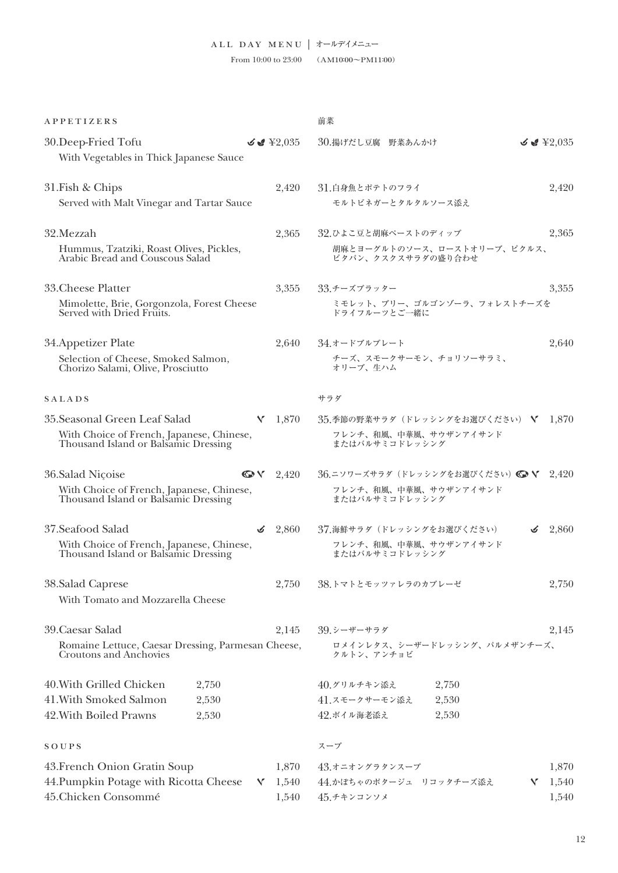From 10:00 to 23:00 (AM10:00 $\sim$ PM11:00)

|                                                                                                                                                                                                                                                                    | 前菜                                                                                                                                                                                                                                                                                                                                                                                                                                                                                                                                                                                                          |                                                                                                                                                                                                                                                                    |
|--------------------------------------------------------------------------------------------------------------------------------------------------------------------------------------------------------------------------------------------------------------------|-------------------------------------------------------------------------------------------------------------------------------------------------------------------------------------------------------------------------------------------------------------------------------------------------------------------------------------------------------------------------------------------------------------------------------------------------------------------------------------------------------------------------------------------------------------------------------------------------------------|--------------------------------------------------------------------------------------------------------------------------------------------------------------------------------------------------------------------------------------------------------------------|
| $\leq$ $\leq$ $\leq$ $\leq$ $\leq$ $\leq$ $\leq$ $\leq$ $\leq$ $\leq$ $\leq$ $\leq$ $\leq$ $\leq$ $\leq$ $\leq$ $\leq$ $\leq$ $\leq$ $\leq$ $\leq$ $\leq$ $\leq$ $\leq$ $\leq$ $\leq$ $\leq$ $\leq$ $\leq$ $\leq$ $\leq$ $\leq$ $\leq$ $\leq$ $\leq$ $\leq$ $\leq$ | 30.揚げだし豆腐 野菜あんかけ                                                                                                                                                                                                                                                                                                                                                                                                                                                                                                                                                                                            | $\leq$ $\leq$ $\leq$ $\leq$ $\leq$ $\leq$ $\leq$ $\leq$ $\leq$ $\leq$ $\leq$ $\leq$ $\leq$ $\leq$ $\leq$ $\leq$ $\leq$ $\leq$ $\leq$ $\leq$ $\leq$ $\leq$ $\leq$ $\leq$ $\leq$ $\leq$ $\leq$ $\leq$ $\leq$ $\leq$ $\leq$ $\leq$ $\leq$ $\leq$ $\leq$ $\leq$ $\leq$ |
| 2,420                                                                                                                                                                                                                                                              | 31.白身魚とポテトのフライ<br>モルトビネガーとタルタルソース添え                                                                                                                                                                                                                                                                                                                                                                                                                                                                                                                                                                         | 2,420                                                                                                                                                                                                                                                              |
| 2,365                                                                                                                                                                                                                                                              | 32.ひよこ豆と胡麻ペーストのディップ<br>胡麻とヨーグルトのソース、ローストオリーブ、ピクルス、                                                                                                                                                                                                                                                                                                                                                                                                                                                                                                                                                          | 2,365                                                                                                                                                                                                                                                              |
| 3,355                                                                                                                                                                                                                                                              | 33.チーズプラッター                                                                                                                                                                                                                                                                                                                                                                                                                                                                                                                                                                                                 | 3,355                                                                                                                                                                                                                                                              |
|                                                                                                                                                                                                                                                                    | ミモレット、ブリー、ゴルゴンゾーラ、フォレストチーズを<br>ドライフルーツとご一緒に                                                                                                                                                                                                                                                                                                                                                                                                                                                                                                                                                                 |                                                                                                                                                                                                                                                                    |
| 2,640                                                                                                                                                                                                                                                              | 34.オードブルプレート                                                                                                                                                                                                                                                                                                                                                                                                                                                                                                                                                                                                | 2,640                                                                                                                                                                                                                                                              |
|                                                                                                                                                                                                                                                                    | チーズ、スモークサーモン、チョリソーサラミ、<br>オリーブ、生ハム                                                                                                                                                                                                                                                                                                                                                                                                                                                                                                                                                                          |                                                                                                                                                                                                                                                                    |
|                                                                                                                                                                                                                                                                    | サラダ                                                                                                                                                                                                                                                                                                                                                                                                                                                                                                                                                                                                         |                                                                                                                                                                                                                                                                    |
| $V = 1,870$                                                                                                                                                                                                                                                        | 35.季節の野菜サラダ(ドレッシングをお選びください) Ⅴ 1,870                                                                                                                                                                                                                                                                                                                                                                                                                                                                                                                                                                         |                                                                                                                                                                                                                                                                    |
|                                                                                                                                                                                                                                                                    | フレンチ、和風、中華風、サウザンアイサンド<br>またはバルサミコドレッシング                                                                                                                                                                                                                                                                                                                                                                                                                                                                                                                                                                     |                                                                                                                                                                                                                                                                    |
|                                                                                                                                                                                                                                                                    | 36.ニソワーズサラダ (ドレッシングをお選びください) ◎ √ 2,420                                                                                                                                                                                                                                                                                                                                                                                                                                                                                                                                                                      |                                                                                                                                                                                                                                                                    |
|                                                                                                                                                                                                                                                                    | フレンチ、和風、中華風、サウザンアイサンド<br>またはバルサミコドレッシング                                                                                                                                                                                                                                                                                                                                                                                                                                                                                                                                                                     |                                                                                                                                                                                                                                                                    |
|                                                                                                                                                                                                                                                                    |                                                                                                                                                                                                                                                                                                                                                                                                                                                                                                                                                                                                             | $\frac{3}{2,860}$                                                                                                                                                                                                                                                  |
|                                                                                                                                                                                                                                                                    | フレンチ、和風、中華風、サウザンアイサンド<br>またはバルサミコドレッシング                                                                                                                                                                                                                                                                                                                                                                                                                                                                                                                                                                     |                                                                                                                                                                                                                                                                    |
| 2,750                                                                                                                                                                                                                                                              | 38.トマトとモッツァレラのカプレーゼ                                                                                                                                                                                                                                                                                                                                                                                                                                                                                                                                                                                         | 2,750                                                                                                                                                                                                                                                              |
|                                                                                                                                                                                                                                                                    |                                                                                                                                                                                                                                                                                                                                                                                                                                                                                                                                                                                                             |                                                                                                                                                                                                                                                                    |
| 2,145                                                                                                                                                                                                                                                              | 39.シーザーサラダ                                                                                                                                                                                                                                                                                                                                                                                                                                                                                                                                                                                                  | 2,145                                                                                                                                                                                                                                                              |
|                                                                                                                                                                                                                                                                    | ロメインレタス、シーザードレッシング、パルメザンチーズ、<br>クルトン、アンチョビ                                                                                                                                                                                                                                                                                                                                                                                                                                                                                                                                                                  |                                                                                                                                                                                                                                                                    |
|                                                                                                                                                                                                                                                                    |                                                                                                                                                                                                                                                                                                                                                                                                                                                                                                                                                                                                             |                                                                                                                                                                                                                                                                    |
|                                                                                                                                                                                                                                                                    | 41.スモークサーモン添え<br>2,530                                                                                                                                                                                                                                                                                                                                                                                                                                                                                                                                                                                      |                                                                                                                                                                                                                                                                    |
|                                                                                                                                                                                                                                                                    | 42.ボイル海老添え<br>2,530                                                                                                                                                                                                                                                                                                                                                                                                                                                                                                                                                                                         |                                                                                                                                                                                                                                                                    |
|                                                                                                                                                                                                                                                                    | スープ                                                                                                                                                                                                                                                                                                                                                                                                                                                                                                                                                                                                         |                                                                                                                                                                                                                                                                    |
| 1,870                                                                                                                                                                                                                                                              | 43.オニオングラタンスープ                                                                                                                                                                                                                                                                                                                                                                                                                                                                                                                                                                                              | 1,870                                                                                                                                                                                                                                                              |
| $V = 1,540$                                                                                                                                                                                                                                                        | 44.かぼちゃのポタージュ リコッタチーズ添え                                                                                                                                                                                                                                                                                                                                                                                                                                                                                                                                                                                     | 1,540<br>Y.                                                                                                                                                                                                                                                        |
| 1,540                                                                                                                                                                                                                                                              | 45.チキンコンソメ                                                                                                                                                                                                                                                                                                                                                                                                                                                                                                                                                                                                  | 1,540                                                                                                                                                                                                                                                              |
|                                                                                                                                                                                                                                                                    | With Vegetables in Thick Japanese Sauce<br>Served with Malt Vinegar and Tartar Sauce<br>Hummus, Tzatziki, Roast Olives, Pickles,<br>Mimolette, Brie, Gorgonzola, Forest Cheese<br>Served with Dried Fruits.<br>With Choice of French, Japanese, Chinese,<br>Thousand Island or Balsamic Dressing<br>$O\vee 2,420$<br>With Choice of French, Japanese, Chinese,<br>Thousand Island or Balsamic Dressing<br>$\leq$ 2,860<br>With Choice of French, Japanese, Chinese,<br>Thousand Island or Balsamic Dressing<br>Romaine Lettuce, Caesar Dressing, Parmesan Cheese,<br>44. Pumpkin Potage with Ricotta Cheese | ピタパン、クスクスサラダの盛り合わせ<br>37.海鮮サラダ (ドレッシングをお選びください)<br>2,750<br>40.グリルチキン添え                                                                                                                                                                                            |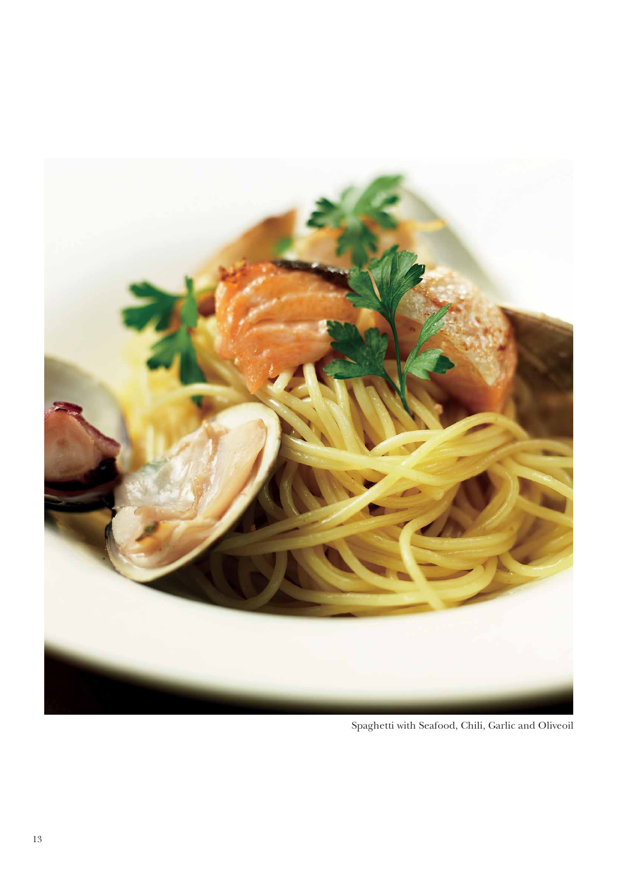

Spaghetti with Seafood, Chili, Garlic and Oliveoil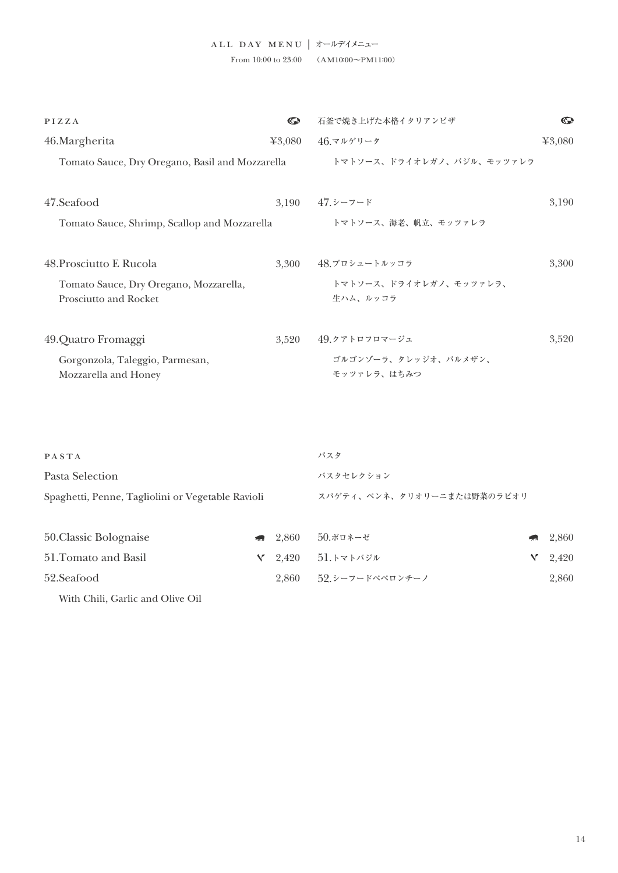| PIZZA                                           | $\mathbf{C}$ | 石釜で焼き上げた本格イタリアンピザ         | $\mathbb{C}$ |
|-------------------------------------------------|--------------|---------------------------|--------------|
| 46. Margherita                                  | 43,080       | 46.マルゲリータ                 | 43,080       |
| Tomato Sauce, Dry Oregano, Basil and Mozzarella |              | トマトソース、ドライオレガノ、バジル、モッツァレラ |              |
|                                                 |              |                           |              |
| 47.Seafood                                      | 3.190        | - 47.シーフード                | 3,190        |
| Tomato Sauce, Shrimp, Scallop and Mozzarella    |              | トマトソース、海老、帆立、モッツァレラ       |              |
|                                                 |              |                           |              |
| 48. Prosciutto E Rucola                         | 3.300        | 48.プロシュートルッコラ             | 3,300        |
| Tomato Sauce, Dry Oregano, Mozzarella,          |              | トマトソース、ドライオレガノ、モッツァレラ、    |              |
| <b>Prosciutto and Rocket</b>                    |              | 牛ハム、ルッコラ                  |              |
|                                                 |              |                           |              |
| 49.Quatro Fromaggi                              | 3.520        | 49.クアトロフロマージュ             | 3,520        |
| Gorgonzola, Taleggio, Parmesan,                 |              | ゴルゴンゾーラ、タレッジオ、パルメザン、      |              |
| Mozzarella and Honey                            |              | モッツァレラ、はちみつ               |              |

| PASTA                                             |               |                            | パスタ             |   |       |
|---------------------------------------------------|---------------|----------------------------|-----------------|---|-------|
| Pasta Selection                                   |               |                            | パスタセレクション       |   |       |
| Spaghetti, Penne, Tagliolini or Vegetable Ravioli |               | スパゲティ、ペンネ、タリオリーニまたは野菜のラビオリ |                 |   |       |
|                                                   |               |                            |                 |   |       |
| 50. Classic Bolognaise                            | $\mathcal{L}$ | 2.860                      | $50.$ ボロネーゼ     | 看 | 2,860 |
| 51. Tomato and Basil                              | V             | 2.420                      | 51.トマトバジル       | v | 2,420 |
| 52.Seafood                                        |               | 2.860                      | 52 シーフードペペロンチーノ |   | 2,860 |

With Chili, Garlic and Olive Oil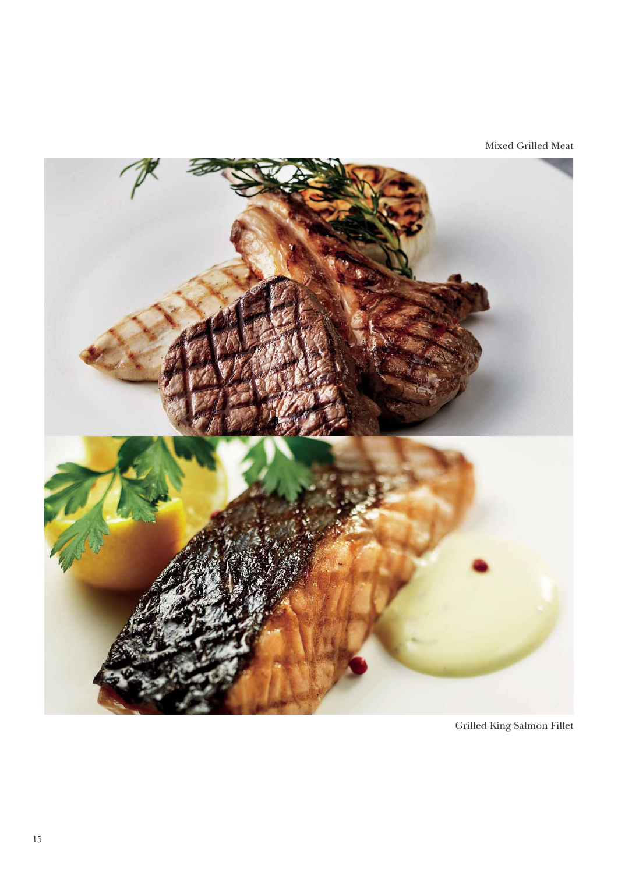Mixed Grilled Meat



Grilled King Salmon Fillet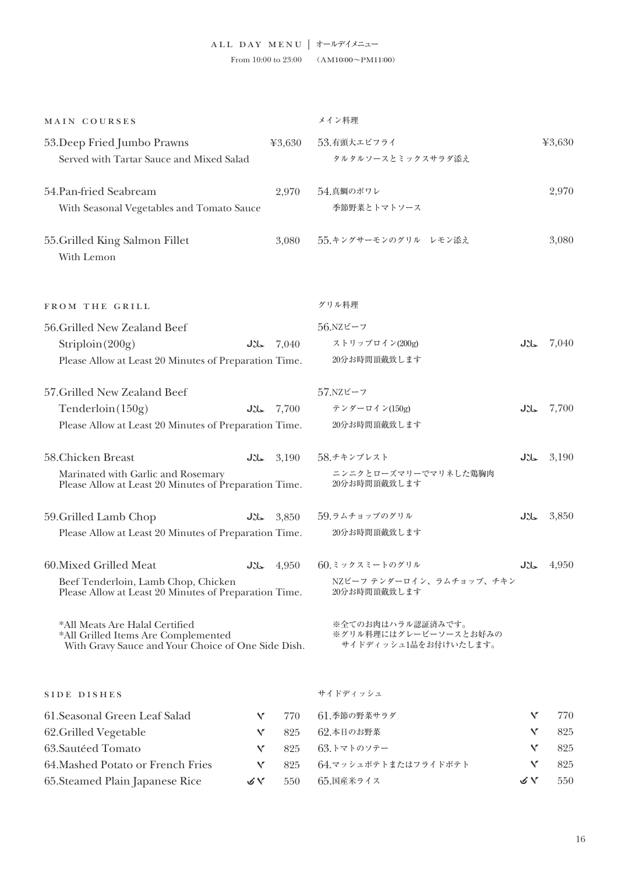## ALL DAY MENU | オールデイメニュー

From 10:00 to 23:00 (AM10:00 $\sim$ PM11:00)

| MAIN COURSES                                                                                                                |     |                  | メイン料理                                                              |              |                  |
|-----------------------------------------------------------------------------------------------------------------------------|-----|------------------|--------------------------------------------------------------------|--------------|------------------|
| 53. Deep Fried Jumbo Prawns<br>Served with Tartar Sauce and Mixed Salad                                                     |     | 43,630           | 53.有頭大エビフライ<br>タルタルソースとミックスサラダ添え                                   |              | 43,630           |
| 54.Pan-fried Seabream<br>With Seasonal Vegetables and Tomato Sauce                                                          |     | 2,970            | 54.真鯛のポワレ<br>季節野菜とトマトソース                                           |              | 2,970            |
| 55. Grilled King Salmon Fillet<br>With Lemon                                                                                |     | 3,080            | 55.キングサーモンのグリル レモン添え                                               |              | 3,080            |
| FROM THE GRILL                                                                                                              |     |                  | グリル料理                                                              |              |                  |
| 56. Grilled New Zealand Beef                                                                                                |     |                  | $56.$ NZビーフ                                                        |              |                  |
| Striploin(200g)                                                                                                             | JY- | 7,040            | ストリップロイン(200g)                                                     | JXL          | 7,040            |
| Please Allow at Least 20 Minutes of Preparation Time.                                                                       |     |                  | 20分お時間頂戴致します                                                       |              |                  |
| 57. Grilled New Zealand Beef                                                                                                |     |                  | $57.$ NZビーフ                                                        |              |                  |
| Tenderloin(150g)                                                                                                            | JJ  | 7,700            | テンダーロイン(150g)                                                      | JXL          | 7,700            |
| Please Allow at Least 20 Minutes of Preparation Time.                                                                       |     |                  | 20分お時間頂戴致します                                                       |              |                  |
| 58. Chicken Breast                                                                                                          |     | $J\&3,190$       | 58.チキンブレスト                                                         | JXL          | 3,190            |
| Marinated with Garlic and Rosemary<br>Please Allow at Least 20 Minutes of Preparation Time.                                 |     |                  | ニンニクとローズマリーでマリネした鶏胸肉<br>20分お時間頂戴致します                               |              |                  |
| 59. Grilled Lamb Chop                                                                                                       |     | $J\lambda$ 3,850 | 59.ラムチョップのグリル                                                      | JXL          | 3,850            |
| Please Allow at Least 20 Minutes of Preparation Time.                                                                       |     |                  | 20分お時間頂戴致します                                                       |              |                  |
| 60. Mixed Grilled Meat                                                                                                      |     | $J\lambda$ 4,950 | 60.ミックスミートのグリル                                                     |              | $J\lambda$ 4,950 |
| Beef Tenderloin, Lamb Chop, Chicken<br>Please Allow at Least 20 Minutes of Preparation Time.                                |     |                  | NZビーフ テンダーロイン、ラムチョップ、チキン<br>20分お時間頂戴致します                           |              |                  |
| *All Meats Are Halal Certified<br>*All Grilled Items Are Complemented<br>With Gravy Sauce and Your Choice of One Side Dish. |     |                  | ※全てのお肉はハラル認証済みです。<br>※グリル料理にはグレービーソースとお好みの<br>サイドディッシュ1品をお付けいたします。 |              |                  |
| SIDE DISHES                                                                                                                 |     |                  | サイドディッシュ                                                           |              |                  |
| 61. Seasonal Green Leaf Salad                                                                                               | Y   | 770              | 61.季節の野菜サラダ                                                        | $\checkmark$ | 770              |
| 62. Grilled Vegetable                                                                                                       | Y   | 825              | 62.本日のお野菜                                                          | ٧            | 825              |
| 63. Sautéed Tomato                                                                                                          | v   | 825              | 63.トマトのソテー                                                         | V            | 825              |
| 64. Mashed Potato or French Fries                                                                                           | Y   | 825              | 64.マッシュポテトまたはフライドポテト                                               | Y            | 825              |
| 65. Steamed Plain Japanese Rice                                                                                             | びん  | 550              | 65.国産米ライス                                                          | びん           | 550              |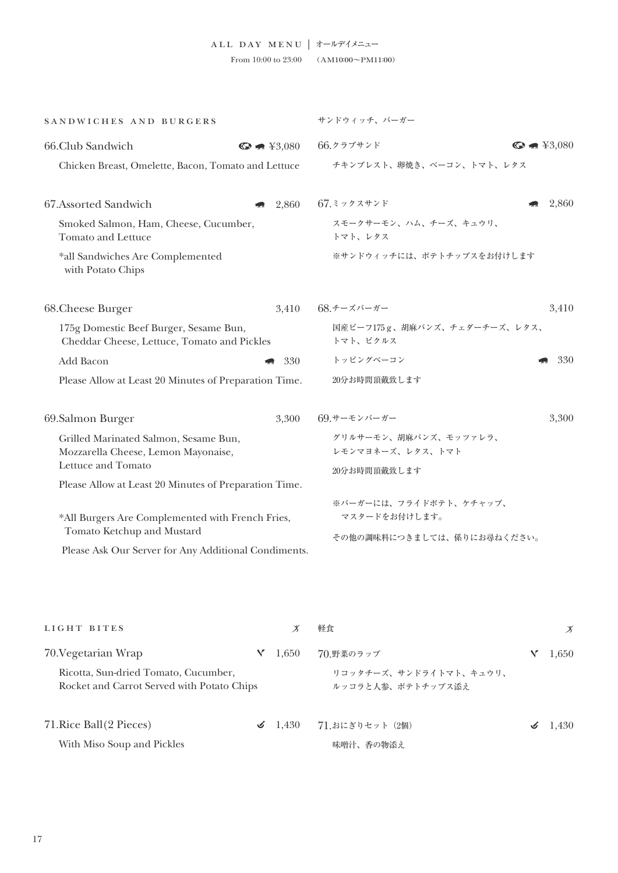| SANDWICHES AND BURGERS                                                                |                                        | サンドウィッチ、バーガー                              |                                        |  |  |  |
|---------------------------------------------------------------------------------------|----------------------------------------|-------------------------------------------|----------------------------------------|--|--|--|
| 66.Club Sandwich                                                                      | $\bigodot$ $\blacksquare$ \\eff{3,080} | 66.クラブサンド                                 | $\bigodot$ $\blacksquare$ \\eff{3,080} |  |  |  |
| Chicken Breast, Omelette, Bacon, Tomato and Lettuce                                   |                                        | チキンブレスト、卵焼き、ベーコン、トマト、レタス                  |                                        |  |  |  |
| 67.Assorted Sandwich                                                                  | 2,860                                  | 67.ミックスサンド                                | 2,860                                  |  |  |  |
| Smoked Salmon, Ham, Cheese, Cucumber,<br><b>Tomato and Lettuce</b>                    |                                        | スモークサーモン、ハム、チーズ、キュウリ、<br>トマト、レタス          |                                        |  |  |  |
| *all Sandwiches Are Complemented<br>with Potato Chips                                 |                                        | ※サンドウィッチには、ポテトチップスをお付けします                 |                                        |  |  |  |
| 68. Cheese Burger                                                                     | 3,410                                  | 68.チーズバーガー                                | 3,410                                  |  |  |  |
| 175g Domestic Beef Burger, Sesame Bun,<br>Cheddar Cheese, Lettuce, Tomato and Pickles |                                        | 国産ビーフ175g、胡麻バンズ、チェダーチーズ、レタス、<br>トマト、ピクルス  |                                        |  |  |  |
| Add Bacon                                                                             | 330                                    | トッピングベーコン                                 | 330                                    |  |  |  |
| Please Allow at Least 20 Minutes of Preparation Time.                                 |                                        | 20分お時間頂戴致します                              |                                        |  |  |  |
| 69.Salmon Burger                                                                      | 3,300                                  | 69.サーモンバーガー                               | 3,300                                  |  |  |  |
| Grilled Marinated Salmon, Sesame Bun,<br>Mozzarella Cheese, Lemon Mayonaise,          |                                        | グリルサーモン、胡麻バンズ、モッツァレラ、<br>レモンマヨネーズ、レタス、トマト |                                        |  |  |  |
| Lettuce and Tomato                                                                    |                                        | 20分お時間頂戴致します                              |                                        |  |  |  |
| Please Allow at Least 20 Minutes of Preparation Time.                                 |                                        |                                           |                                        |  |  |  |
| *All Burgers Are Complemented with French Fries,                                      |                                        | ※バーガーには、フライドポテト、ケチャップ、<br>マスタードをお付けします。   |                                        |  |  |  |
| Tomato Ketchup and Mustard                                                            |                                        | その他の調味料につきましては、係りにお尋ねください。                |                                        |  |  |  |
| Please Ask Our Server for Any Additional Condiments.                                  |                                        |                                           |                                        |  |  |  |

| LIGHT BITES                                                                        |  |                     | 軽食                                          |  | Х      |
|------------------------------------------------------------------------------------|--|---------------------|---------------------------------------------|--|--------|
| 70. Vegetarian Wrap                                                                |  | 1.650               | 70.野菜のラップ                                   |  | 1,650  |
| Ricotta, Sun-dried Tomato, Cucumber,<br>Rocket and Carrot Served with Potato Chips |  |                     | リコッタチーズ、サンドライトマト、キュウリ、<br>ルッコラと人参、ポテトチップス添え |  |        |
| 71. Rice Ball (2 Pieces)                                                           |  | $\mathcal{I}$ 1.430 | 71.おにぎりセット (2個)                             |  | -1.430 |
| With Miso Soup and Pickles                                                         |  |                     | 味噌汁、香の物添え                                   |  |        |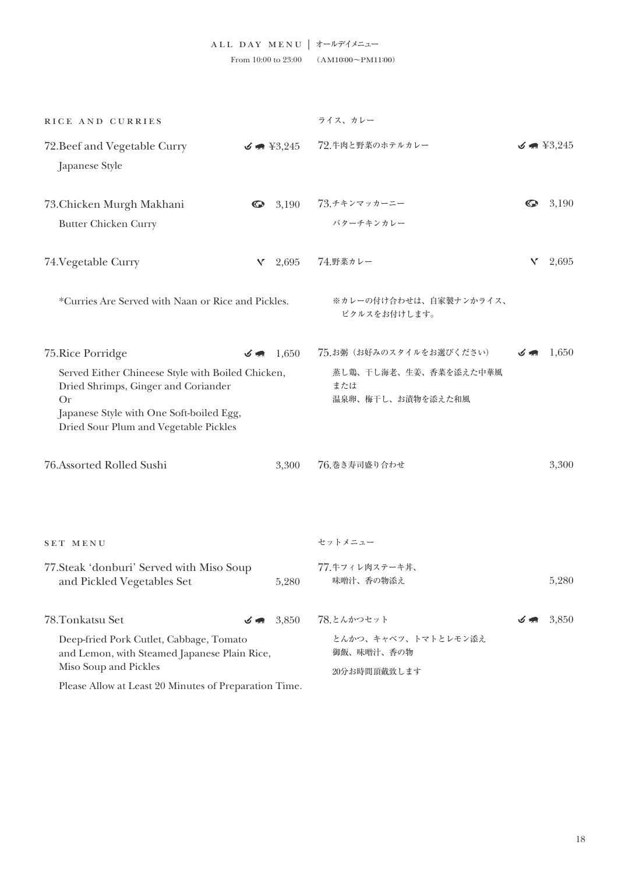| RICE AND CURRIES                                                                                                                                                                           |           |                      | ライス、カレー                                           |           |                      |
|--------------------------------------------------------------------------------------------------------------------------------------------------------------------------------------------|-----------|----------------------|---------------------------------------------------|-----------|----------------------|
| 72. Beef and Vegetable Curry<br>Japanese Style                                                                                                                                             |           | $\leq$ $\neq$ ¥3,245 | 72.牛肉と野菜のホテルカレー                                   |           | $\leq$ $\neq$ ¥3,245 |
| 73. Chicken Murgh Makhani<br><b>Butter Chicken Curry</b>                                                                                                                                   | $\bullet$ | 3,190                | 73.チキンマッカーニー<br>バターチキンカレー                         | $\bullet$ | 3,190                |
| 74. Vegetable Curry                                                                                                                                                                        | Y.        | 2,695                | 74.野菜カレー                                          | Y         | 2,695                |
| *Curries Are Served with Naan or Rice and Pickles.                                                                                                                                         |           |                      | ※カレーの付け合わせは、自家製ナンかライス、<br>ピクルスをお付けします。            |           |                      |
| 75. Rice Porridge                                                                                                                                                                          | 万無        | 1,650                | 75.お粥 (お好みのスタイルをお選びください)                          |           | 1,650                |
| Served Either Chineese Style with Boiled Chicken,<br>Dried Shrimps, Ginger and Coriander<br><b>Or</b><br>Japanese Style with One Soft-boiled Egg,<br>Dried Sour Plum and Vegetable Pickles |           |                      | 蒸し鶏、干し海老、生姜、香菜を添えた中華風<br>または<br>温泉卵、梅干し、お漬物を添えた和風 |           |                      |
| 76. Assorted Rolled Sushi                                                                                                                                                                  |           | 3,300                | 76.巻き寿司盛り合わせ                                      |           | 3,300                |
| SET MENU                                                                                                                                                                                   |           |                      | セットメニュー                                           |           |                      |
| 77. Steak 'donburi' Served with Miso Soup<br>and Pickled Vegetables Set                                                                                                                    |           | 5,280                | 77.牛フィレ肉ステーキ丼、<br>味噌汁、香の物添え                       |           | 5,280                |
| 78.Tonkatsu Set                                                                                                                                                                            |           | 3,850                | 78.とんかつセット                                        |           | 3,850                |
| Deep-fried Pork Cutlet, Cabbage, Tomato<br>and Lemon, with Steamed Japanese Plain Rice,<br>Miso Soup and Pickles                                                                           |           |                      | とんかつ、キャベツ、トマトとレモン添え<br>御飯、味噌汁、香の物<br>20分お時間頂戴致します |           |                      |
| Please Allow at Least 20 Minutes of Preparation Time.                                                                                                                                      |           |                      |                                                   |           |                      |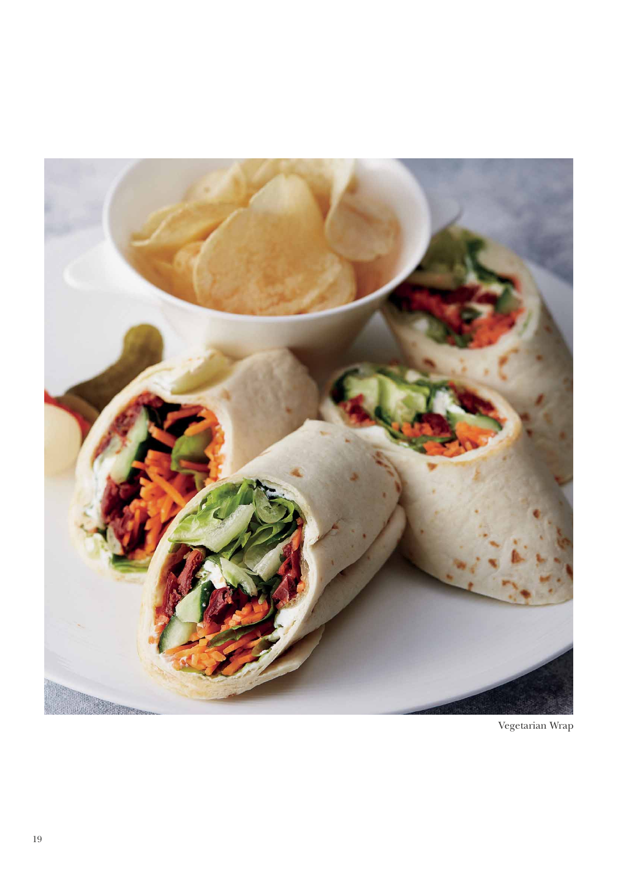

Vegetarian Wrap